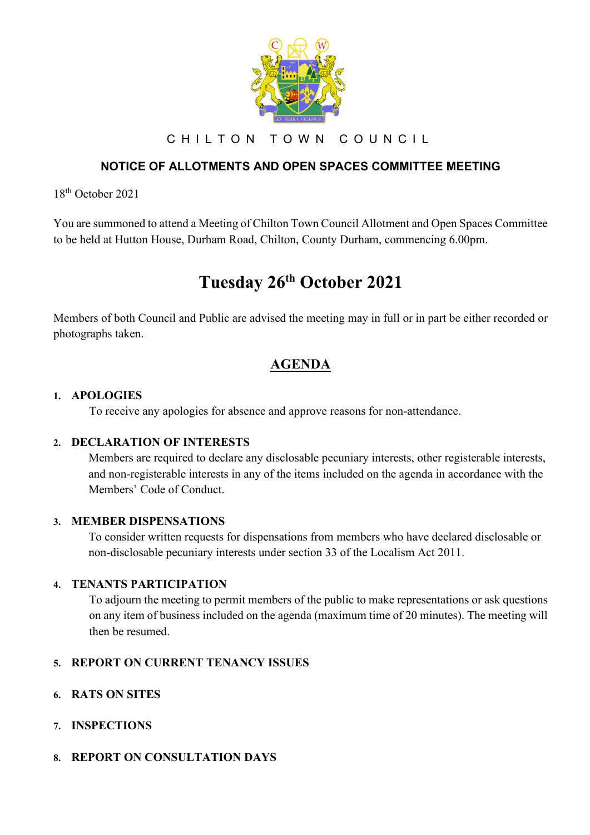

CHILTON TOWN COUNCIL

# **NOTICE OF ALLOTMENTS AND OPEN SPACES COMMITTEE MEETING**

18th October 2021

You are summoned to attend a Meeting of Chilton Town Council Allotment and Open Spaces Committee to be held at Hutton House, Durham Road, Chilton, County Durham, commencing 6.00pm.

# **Tuesday 26th October 2021**

Members of both Council and Public are advised the meeting may in full or in part be either recorded or photographs taken.

# **AGENDA**

### **1. APOLOGIES**

To receive any apologies for absence and approve reasons for non-attendance.

#### **2. DECLARATION OF INTERESTS**

Members are required to declare any disclosable pecuniary interests, other registerable interests, and non-registerable interests in any of the items included on the agenda in accordance with the Members' Code of Conduct.

#### **3. MEMBER DISPENSATIONS**

To consider written requests for dispensations from members who have declared disclosable or non-disclosable pecuniary interests under section 33 of the Localism Act 2011.

# **4. TENANTS PARTICIPATION**

To adjourn the meeting to permit members of the public to make representations or ask questions on any item of business included on the agenda (maximum time of 20 minutes). The meeting will then be resumed.

# **5. REPORT ON CURRENT TENANCY ISSUES**

- **6. RATS ON SITES**
- **7. INSPECTIONS**
- **8. REPORT ON CONSULTATION DAYS**